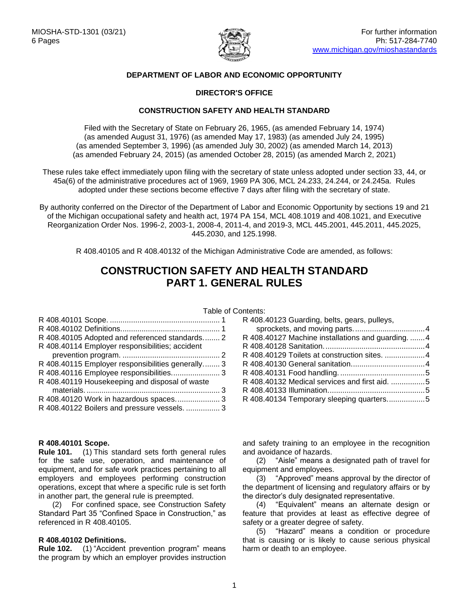

# **DEPARTMENT OF LABOR AND ECONOMIC OPPORTUNITY**

# **DIRECTOR'S OFFICE**

# **CONSTRUCTION SAFETY AND HEALTH STANDARD**

Filed with the Secretary of State on February 26, 1965, (as amended February 14, 1974) (as amended August 31, 1976) (as amended May 17, 1983) (as amended July 24, 1995) (as amended September 3, 1996) (as amended July 30, 2002) (as amended March 14, 2013) (as amended February 24, 2015) (as amended October 28, 2015) (as amended March 2, 2021)

These rules take effect immediately upon filing with the secretary of state unless adopted under section 33, 44, or 45a(6) of the administrative procedures act of 1969, 1969 PA 306, MCL 24.233, 24.244, or 24.245a. Rules adopted under these sections become effective 7 days after filing with the secretary of state.

By authority conferred on the Director of the Department of Labor and Economic Opportunity by sections 19 and 21 of the Michigan occupational safety and health act, 1974 PA 154, MCL 408.1019 and 408.1021, and Executive Reorganization Order Nos. 1996-2, 2003-1, 2008-4, 2011-4, and 2019-3, MCL 445.2001, 445.2011, 445.2025, 445.2030, and 125.1998.

R 408.40105 and R 408.40132 of the Michigan Administrative Code are amended, as follows:

# **CONSTRUCTION SAFETY AND HEALTH STANDARD PART 1. GENERAL RULES**

| R 408.40105 Adopted and referenced standards 2    |  |
|---------------------------------------------------|--|
| R 408.40114 Employer responsibilities; accident   |  |
|                                                   |  |
| R 408.40115 Employer responsibilities generally 3 |  |
| R 408.40116 Employee responsibilities 3           |  |
| R 408.40119 Housekeeping and disposal of waste    |  |
|                                                   |  |
|                                                   |  |
| R 408.40122 Boilers and pressure vessels.  3      |  |

## <span id="page-0-0"></span>**R 408.40101 Scope.**

**Rule 101.** (1) This standard sets forth general rules for the safe use, operation, and maintenance of equipment, and for safe work practices pertaining to all employers and employees performing construction operations, except that where a specific rule is set forth in another part, the general rule is preempted.

(2) For confined space, see Construction Safety Standard Part 35 "Confined Space in Construction," as referenced in R 408.40105.

#### <span id="page-0-1"></span>**R 408.40102 Definitions.**

**Rule 102.** (1) "Accident prevention program" means the program by which an employer provides instruction

| Table of Contents: |                                                   |  |
|--------------------|---------------------------------------------------|--|
| . 1                | R 408.40123 Guarding, belts, gears, pulleys,      |  |
| . 1                |                                                   |  |
| . 2                | R 408.40127 Machine installations and guarding. 4 |  |
|                    |                                                   |  |
| . 2                |                                                   |  |
| . 3                |                                                   |  |
| 3                  |                                                   |  |
| ite i v            | R 408.40132 Medical services and first aid. 5     |  |
| . 3                |                                                   |  |
| . 3                | R 408.40134 Temporary sleeping quarters5          |  |
|                    |                                                   |  |

and safety training to an employee in the recognition and avoidance of hazards.

(2) "Aisle" means a designated path of travel for equipment and employees.

(3) "Approved" means approval by the director of the department of licensing and regulatory affairs or by the director's duly designated representative.

(4) "Equivalent" means an alternate design or feature that provides at least as effective degree of safety or a greater degree of safety.

(5) "Hazard" means a condition or procedure that is causing or is likely to cause serious physical harm or death to an employee.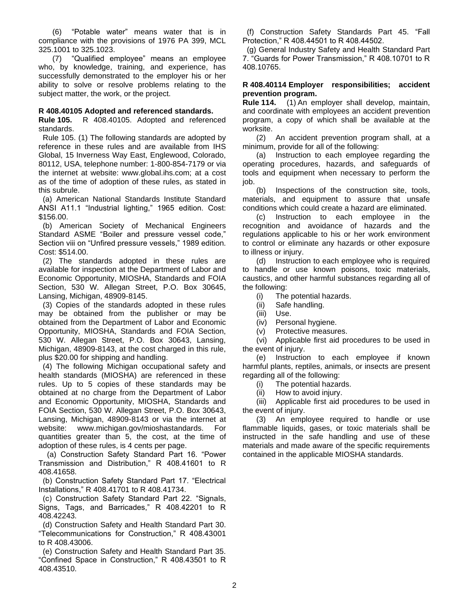(6) "Potable water" means water that is in compliance with the provisions of 1976 PA 399, MCL 325.1001 to 325.1023.

(7) "Qualified employee" means an employee who, by knowledge, training, and experience, has successfully demonstrated to the employer his or her ability to solve or resolve problems relating to the subject matter, the work, or the project.

# <span id="page-1-0"></span>**R 408.40105 Adopted and referenced standards.**

**Rule 105.** R 408.40105. Adopted and referenced standards.

 Rule 105. (1) The following standards are adopted by reference in these rules and are available from IHS Global, 15 Inverness Way East, Englewood, Colorado, 80112, USA, telephone number: 1-800-854-7179 or via the internet at website: www.global.ihs.com; at a cost as of the time of adoption of these rules, as stated in this subrule.

 (a) American National Standards Institute Standard ANSI A11.1 "Industrial lighting," 1965 edition. Cost: \$156.00.

 (b) American Society of Mechanical Engineers Standard ASME "Boiler and pressure vessel code," Section viii on "Unfired pressure vessels," 1989 edition. Cost: \$514.00.

 (2) The standards adopted in these rules are available for inspection at the Department of Labor and Economic Opportunity, MIOSHA, Standards and FOIA Section, 530 W. Allegan Street, P.O. Box 30645, Lansing, Michigan, 48909-8145.

 (3) Copies of the standards adopted in these rules may be obtained from the publisher or may be obtained from the Department of Labor and Economic Opportunity, MIOSHA, Standards and FOIA Section, 530 W. Allegan Street, P.O. Box 30643, Lansing, Michigan, 48909-8143, at the cost charged in this rule, plus \$20.00 for shipping and handling.

 (4) The following Michigan occupational safety and health standards (MIOSHA) are referenced in these rules. Up to 5 copies of these standards may be obtained at no charge from the Department of Labor and Economic Opportunity, MIOSHA, Standards and FOIA Section, 530 W. Allegan Street, P.O. Box 30643, Lansing, Michigan, 48909-8143 or via the internet at website: www.michigan.gov/mioshastandards. For quantities greater than 5, the cost, at the time of adoption of these rules, is 4 cents per page.

 (a) Construction Safety Standard Part 16. "Power Transmission and Distribution," R 408.41601 to R 408.41658.

 (b) Construction Safety Standard Part 17. "Electrical Installations," R 408.41701 to R 408.41734.

 (c) Construction Safety Standard Part 22. "Signals, Signs, Tags, and Barricades," R 408.42201 to R 408.42243.

 (d) Construction Safety and Health Standard Part 30. "Telecommunications for Construction," R 408.43001 to R 408.43006.

 (e) Construction Safety and Health Standard Part 35. "Confined Space in Construction," R 408.43501 to R 408.43510.

 (f) Construction Safety Standards Part 45. "Fall Protection," R 408.44501 to R 408.44502.

 (g) General Industry Safety and Health Standard Part 7. "Guards for Power Transmission," R 408.10701 to R 408.10765.

## <span id="page-1-1"></span>**R 408.40114 Employer responsibilities; accident prevention program.**

**Rule 114.** (1) An employer shall develop, maintain, and coordinate with employees an accident prevention program, a copy of which shall be available at the worksite.

(2) An accident prevention program shall, at a minimum, provide for all of the following:

(a) Instruction to each employee regarding the operating procedures, hazards, and safeguards of tools and equipment when necessary to perform the job.

(b) Inspections of the construction site, tools, materials, and equipment to assure that unsafe conditions which could create a hazard are eliminated.

(c) Instruction to each employee in the recognition and avoidance of hazards and the regulations applicable to his or her work environment to control or eliminate any hazards or other exposure to illness or injury.

(d) Instruction to each employee who is required to handle or use known poisons, toxic materials, caustics, and other harmful substances regarding all of the following:

(i) The potential hazards.

- (ii) Safe handling.
- (iii) Use.
- (iv) Personal hygiene.
- (v) Protective measures.

(vi) Applicable first aid procedures to be used in the event of injury.

(e) Instruction to each employee if known harmful plants, reptiles, animals, or insects are present regarding all of the following:

(i) The potential hazards.

(ii) How to avoid injury.

(iii) Applicable first aid procedures to be used in the event of injury.

(3) An employee required to handle or use flammable liquids, gases, or toxic materials shall be instructed in the safe handling and use of these materials and made aware of the specific requirements contained in the applicable MIOSHA standards.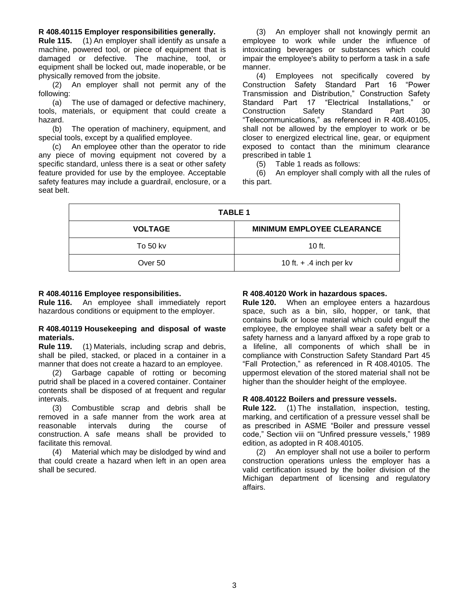## <span id="page-2-0"></span>**R 408.40115 Employer responsibilities generally.**

**Rule 115.** (1) An employer shall identify as unsafe a machine, powered tool, or piece of equipment that is damaged or defective. The machine, tool, or equipment shall be locked out, made inoperable, or be physically removed from the jobsite.

(2) An employer shall not permit any of the following:

(a) The use of damaged or defective machinery, tools, materials, or equipment that could create a hazard.

(b) The operation of machinery, equipment, and special tools, except by a qualified employee.

(c) An employee other than the operator to ride any piece of moving equipment not covered by a specific standard, unless there is a seat or other safety feature provided for use by the employee. Acceptable safety features may include a guardrail, enclosure, or a seat belt.

(3) An employer shall not knowingly permit an employee to work while under the influence of intoxicating beverages or substances which could impair the employee's ability to perform a task in a safe manner.

(4) Employees not specifically covered by Construction Safety Standard Part 16 "Power Transmission and Distribution," Construction Safety Standard Part 17 "Electrical Installations," or Construction Safety Standard Part 30 "Telecommunications," as referenced in R 408.40105, shall not be allowed by the employer to work or be closer to energized electrical line, gear, or equipment exposed to contact than the minimum clearance prescribed in table 1

(5) Table 1 reads as follows:

(6) An employer shall comply with all the rules of this part.

| <b>TABLE 1</b> |                                   |  |  |
|----------------|-----------------------------------|--|--|
| <b>VOLTAGE</b> | <b>MINIMUM EMPLOYEE CLEARANCE</b> |  |  |
| To 50 kv       | 10 $ft.$                          |  |  |
| Over 50        | 10 ft. $+$ .4 inch per kv         |  |  |

# <span id="page-2-1"></span>**R 408.40116 Employee responsibilities.**

**Rule 116.** An employee shall immediately report hazardous conditions or equipment to the employer.

#### <span id="page-2-2"></span>**R 408.40119 Housekeeping and disposal of waste materials.**

**Rule 119.** (1) Materials, including scrap and debris, shall be piled, stacked, or placed in a container in a manner that does not create a hazard to an employee.

(2) Garbage capable of rotting or becoming putrid shall be placed in a covered container. Container contents shall be disposed of at frequent and regular intervals.

(3) Combustible scrap and debris shall be removed in a safe manner from the work area at reasonable intervals during the course of construction. A safe means shall be provided to facilitate this removal.

(4) Material which may be dislodged by wind and that could create a hazard when left in an open area shall be secured.

#### <span id="page-2-3"></span>**R 408.40120 Work in hazardous spaces.**

**Rule 120.** When an employee enters a hazardous space, such as a bin, silo, hopper, or tank, that contains bulk or loose material which could engulf the employee, the employee shall wear a safety belt or a safety harness and a lanyard affixed by a rope grab to a lifeline, all components of which shall be in compliance with Construction Safety Standard Part 45 "Fall Protection," as referenced in R 408.40105. The uppermost elevation of the stored material shall not be higher than the shoulder height of the employee.

#### <span id="page-2-4"></span>**R 408.40122 Boilers and pressure vessels.**

**Rule 122.** (1) The installation, inspection, testing, marking, and certification of a pressure vessel shall be as prescribed in ASME "Boiler and pressure vessel code," Section viii on "Unfired pressure vessels," 1989 edition, as adopted in R 408.40105.

<span id="page-2-5"></span>(2) An employer shall not use a boiler to perform construction operations unless the employer has a valid certification issued by the boiler division of the Michigan department of licensing and regulatory affairs.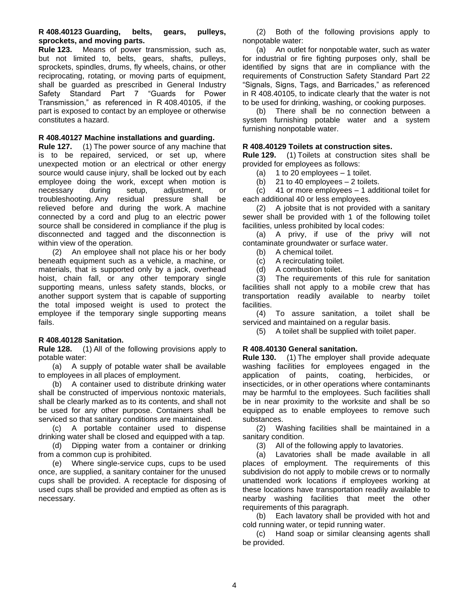# **R 408.40123 Guarding, belts, gears, pulleys, sprockets, and moving parts.**

**Rule 123.** Means of power transmission, such as, but not limited to, belts, gears, shafts, pulleys, sprockets, spindles, drums, fly wheels, chains, or other reciprocating, rotating, or moving parts of equipment, shall be guarded as prescribed in General Industry Safety Standard Part 7 "Guards for Power Transmission," as referenced in R 408.40105, if the part is exposed to contact by an employee or otherwise constitutes a hazard.

# <span id="page-3-0"></span>**R 408.40127 Machine installations and guarding.**

**Rule 127.** (1) The power source of any machine that is to be repaired, serviced, or set up, where unexpected motion or an electrical or other energy source would cause injury, shall be locked out by each employee doing the work, except when motion is necessary during setup, adjustment, or troubleshooting. Any residual pressure shall be relieved before and during the work. A machine connected by a cord and plug to an electric power source shall be considered in compliance if the plug is disconnected and tagged and the disconnection is within view of the operation.

(2) An employee shall not place his or her body beneath equipment such as a vehicle, a machine, or materials, that is supported only by a jack, overhead hoist, chain fall, or any other temporary single supporting means, unless safety stands, blocks, or another support system that is capable of supporting the total imposed weight is used to protect the employee if the temporary single supporting means fails.

# <span id="page-3-1"></span>**R 408.40128 Sanitation.**

**Rule 128.** (1) All of the following provisions apply to potable water:

(a) A supply of potable water shall be available to employees in all places of employment.

(b) A container used to distribute drinking water shall be constructed of impervious nontoxic materials, shall be clearly marked as to its contents, and shall not be used for any other purpose. Containers shall be serviced so that sanitary conditions are maintained.

(c) A portable container used to dispense drinking water shall be closed and equipped with a tap.

(d) Dipping water from a container or drinking from a common cup is prohibited.

(e) Where single-service cups, cups to be used once, are supplied, a sanitary container for the unused cups shall be provided. A receptacle for disposing of used cups shall be provided and emptied as often as is necessary.

(2) Both of the following provisions apply to nonpotable water:

(a) An outlet for nonpotable water, such as water for industrial or fire fighting purposes only, shall be identified by signs that are in compliance with the requirements of Construction Safety Standard Part 22 "Signals, Signs, Tags, and Barricades," as referenced in R 408.40105, to indicate clearly that the water is not to be used for drinking, washing, or cooking purposes.

(b) There shall be no connection between a system furnishing potable water and a system furnishing nonpotable water.

# <span id="page-3-2"></span>**R 408.40129 Toilets at construction sites.**

**Rule 129.** (1) Toilets at construction sites shall be provided for employees as follows:

- (a) 1 to 20 employees 1 toilet.
- (b) 21 to 40 employees  $-2$  toilets.

(c) 41 or more employees – 1 additional toilet for each additional 40 or less employees.

(2) A jobsite that is not provided with a sanitary sewer shall be provided with 1 of the following toilet facilities, unless prohibited by local codes:

(a) A privy, if use of the privy will not contaminate groundwater or surface water.

- (b) A chemical toilet.
- (c) A recirculating toilet.
- (d) A combustion toilet.

(3) The requirements of this rule for sanitation facilities shall not apply to a mobile crew that has transportation readily available to nearby toilet facilities.

(4) To assure sanitation, a toilet shall be serviced and maintained on a regular basis.

(5) A toilet shall be supplied with toilet paper.

# <span id="page-3-3"></span>**R 408.40130 General sanitation.**

**Rule 130.** (1) The employer shall provide adequate washing facilities for employees engaged in the application of paints, coating, herbicides, or insecticides, or in other operations where contaminants may be harmful to the employees. Such facilities shall be in near proximity to the worksite and shall be so equipped as to enable employees to remove such substances.

(2) Washing facilities shall be maintained in a sanitary condition.

(3) All of the following apply to lavatories.

(a) Lavatories shall be made available in all places of employment. The requirements of this subdivision do not apply to mobile crews or to normally unattended work locations if employees working at these locations have transportation readily available to nearby washing facilities that meet the other requirements of this paragraph.

(b) Each lavatory shall be provided with hot and cold running water, or tepid running water.

(c) Hand soap or similar cleansing agents shall be provided.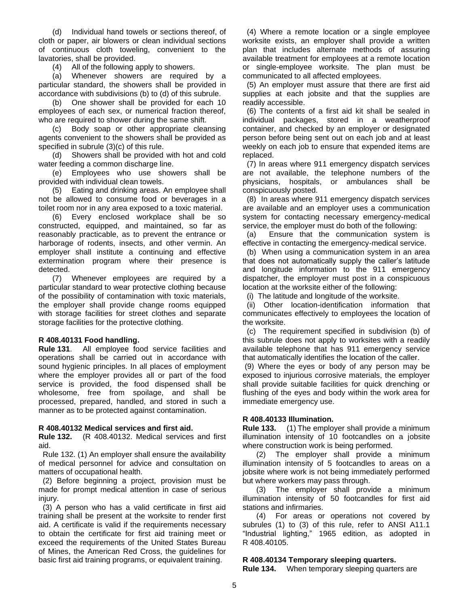(d) Individual hand towels or sections thereof, of cloth or paper, air blowers or clean individual sections of continuous cloth toweling, convenient to the lavatories, shall be provided.

(4) All of the following apply to showers.

(a) Whenever showers are required by a particular standard, the showers shall be provided in accordance with subdivisions (b) to (d) of this subrule.

(b) One shower shall be provided for each 10 employees of each sex, or numerical fraction thereof, who are required to shower during the same shift.

(c) Body soap or other appropriate cleansing agents convenient to the showers shall be provided as specified in subrule (3)(c) of this rule.

(d) Showers shall be provided with hot and cold water feeding a common discharge line.

(e) Employees who use showers shall be provided with individual clean towels.

(5) Eating and drinking areas. An employee shall not be allowed to consume food or beverages in a toilet room nor in any area exposed to a toxic material.

(6) Every enclosed workplace shall be so constructed, equipped, and maintained, so far as reasonably practicable, as to prevent the entrance or harborage of rodents, insects, and other vermin. An employer shall institute a continuing and effective extermination program where their presence is detected.

(7) Whenever employees are required by a particular standard to wear protective clothing because of the possibility of contamination with toxic materials, the employer shall provide change rooms equipped with storage facilities for street clothes and separate storage facilities for the protective clothing.

# <span id="page-4-0"></span>**R 408.40131 Food handling.**

**Rule 131**. All employee food service facilities and operations shall be carried out in accordance with sound hygienic principles. In all places of employment where the employer provides all or part of the food service is provided, the food dispensed shall be wholesome, free from spoilage, and shall be processed, prepared, handled, and stored in such a manner as to be protected against contamination.

#### <span id="page-4-1"></span>**R 408.40132 Medical services and first aid.**

**Rule 132.** (R 408.40132. Medical services and first aid.

 Rule 132. (1) An employer shall ensure the availability of medical personnel for advice and consultation on matters of occupational health.

 (2) Before beginning a project, provision must be made for prompt medical attention in case of serious injury.

(3) A person who has a valid certificate in first aid training shall be present at the worksite to render first aid. A certificate is valid if the requirements necessary to obtain the certificate for first aid training meet or exceed the requirements of the United States Bureau of Mines, the American Red Cross, the guidelines for basic first aid training programs, or equivalent training.

 (4) Where a remote location or a single employee worksite exists, an employer shall provide a written plan that includes alternate methods of assuring available treatment for employees at a remote location or single-employee worksite. The plan must be communicated to all affected employees.

(5) An employer must assure that there are first aid supplies at each jobsite and that the supplies are readily accessible.

 (6) The contents of a first aid kit shall be sealed in individual packages, stored in a weatherproof container, and checked by an employer or designated person before being sent out on each job and at least weekly on each job to ensure that expended items are replaced.

 (7) In areas where 911 emergency dispatch services are not available, the telephone numbers of the physicians, hospitals, or ambulances shall be conspicuously posted.

 (8) In areas where 911 emergency dispatch services are available and an employer uses a communication system for contacting necessary emergency-medical service, the employer must do both of the following:

 (a) Ensure that the communication system is effective in contacting the emergency-medical service.

 (b) When using a communication system in an area that does not automatically supply the caller's latitude and longitude information to the 911 emergency dispatcher, the employer must post in a conspicuous location at the worksite either of the following:

(i) The latitude and longitude of the worksite.

 (ii) Other location-identification information that communicates effectively to employees the location of the worksite.

 (c) The requirement specified in subdivision (b) of this subrule does not apply to worksites with a readily available telephone that has 911 emergency service that automatically identifies the location of the caller.

(9) Where the eyes or body of any person may be exposed to injurious corrosive materials, the employer shall provide suitable facilities for quick drenching or flushing of the eyes and body within the work area for immediate emergency use.

#### <span id="page-4-2"></span>**R 408.40133 Illumination.**

**Rule 133.** (1) The employer shall provide a minimum illumination intensity of 10 footcandles on a jobsite where construction work is being performed.

(2) The employer shall provide a minimum illumination intensity of 5 footcandles to areas on a jobsite where work is not being immediately performed but where workers may pass through.

(3) The employer shall provide a minimum illumination intensity of 50 footcandles for first aid stations and infirmaries.

(4) For areas or operations not covered by subrules (1) to (3) of this rule, refer to ANSI A11.1 "Industrial lighting," 1965 edition, as adopted in R 408.40105.

# <span id="page-4-3"></span>**R 408.40134 Temporary sleeping quarters.**

**Rule 134.** When temporary sleeping quarters are